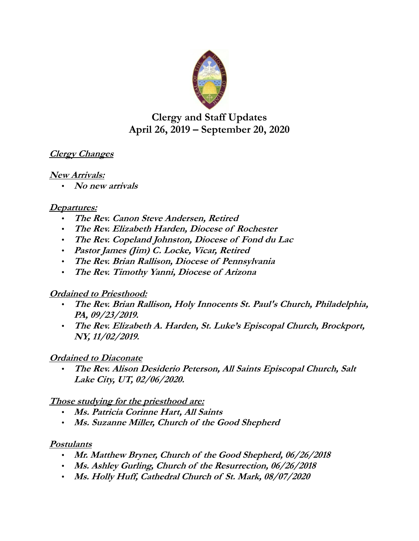

# **Clergy and Staff Updates April 26, 2019 – September 20, 2020**

## **Clergy Changes**

#### **New Arrivals:**

• **No new arrivals**

#### **Departures:**

- **The Rev. Canon Steve Andersen, Retired**
- **The Rev. Elizabeth Harden, Diocese of Rochester**
- **The Rev. Copeland Johnston, Diocese of Fond du Lac**
- **Pastor James (Jim) C. Locke, Vicar, Retired**
- **The Rev. Brian Rallison, Diocese of Pennsylvania**
- **The Rev. Timothy Yanni, Diocese of Arizona**

### **Ordained to Priesthood:**

- **The Rev. Brian Rallison, Holy Innocents St. Paul's Church, Philadelphia, PA, 09/23/2019.**
- **The Rev. Elizabeth A. Harden, St. Luke's Episcopal Church, Brockport, NY, 11/02/2019.**

# **Ordained to Diaconate**

• **The Rev. Alison Desiderio Peterson, All Saints Episcopal Church, Salt Lake City, UT, 02/06/2020.**

### **Those studying for the priesthood are:**

- **Ms. Patricia Corinne Hart, All Saints**
- **Ms. Suzanne Miller, Church of the Good Shepherd**

### **Postulants**

- **Mr. Matthew Bryner, Church of the Good Shepherd, 06/26/2018**
- **Ms. Ashley Gurling, Church of the Resurrection, 06/26/2018**
- **Ms. Holly Huff, Cathedral Church of St. Mark, 08/07/2020**